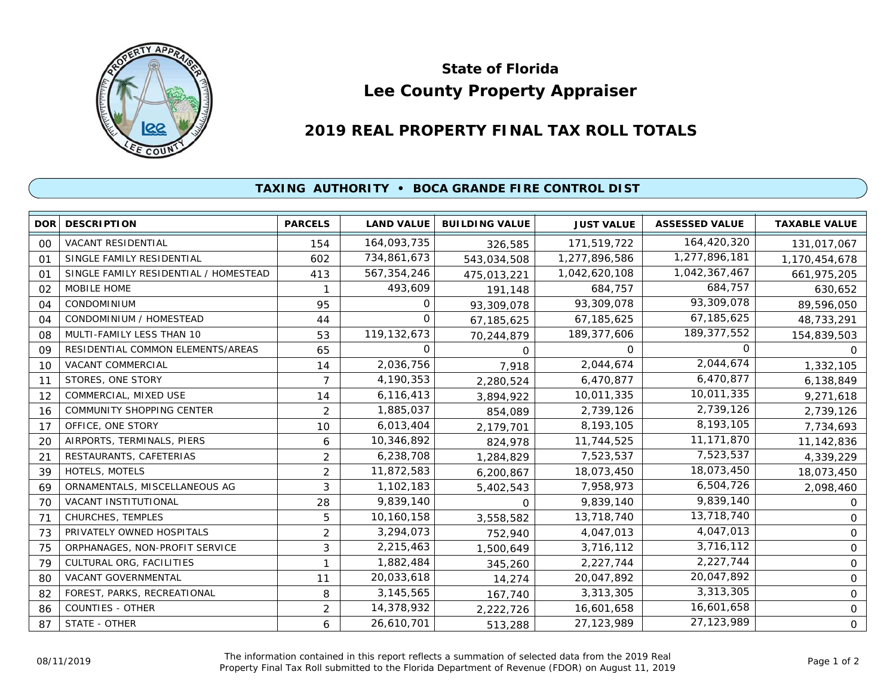

## **Lee County Property Appraiser State of Florida**

## **2019 REAL PROPERTY FINAL TAX ROLL TOTALS**

## **TAXING AUTHORITY • BOCA GRANDE FIRE CONTROL DIST**

|                | DOR DESCRIPTION                       | <b>PARCELS</b> | <b>LAND VALUE</b> | <b>BUILDING VALUE</b> | <b>JUST VALUE</b> | <b>ASSESSED VALUE</b> | <b>TAXABLE VALUE</b> |
|----------------|---------------------------------------|----------------|-------------------|-----------------------|-------------------|-----------------------|----------------------|
| 00             | <b>VACANT RESIDENTIAL</b>             | 154            | 164,093,735       | 326,585               | 171,519,722       | 164,420,320           | 131,017,067          |
| 01             | SINGLE FAMILY RESIDENTIAL             | 602            | 734,861,673       | 543,034,508           | 1,277,896,586     | 1,277,896,181         | 1,170,454,678        |
| O <sub>1</sub> | SINGLE FAMILY RESIDENTIAL / HOMESTEAD | 413            | 567,354,246       | 475,013,221           | 1,042,620,108     | 1,042,367,467         | 661,975,205          |
| 02             | <b>MOBILE HOME</b>                    |                | 493,609           | 191,148               | 684,757           | 684,757               | 630,652              |
| 04             | <b>CONDOMINIUM</b>                    | 95             | 0                 | 93,309,078            | 93,309,078        | 93,309,078            | 89,596,050           |
| 04             | CONDOMINIUM / HOMESTEAD               | 44             | $\Omega$          | 67,185,625            | 67,185,625        | 67,185,625            | 48,733,291           |
| 08             | MULTI-FAMILY LESS THAN 10             | 53             | 119,132,673       | 70,244,879            | 189, 377, 606     | 189, 377, 552         | 154,839,503          |
| 09             | RESIDENTIAL COMMON ELEMENTS/AREAS     | 65             | $\Omega$          | $\Omega$              | $\Omega$          | <sup>o</sup>          | O                    |
| 10             | VACANT COMMERCIAL                     | 14             | 2,036,756         | 7,918                 | 2,044,674         | 2,044,674             | 1,332,105            |
| 11             | STORES, ONE STORY                     | 7              | 4,190,353         | 2,280,524             | 6,470,877         | 6,470,877             | 6,138,849            |
| 12             | COMMERCIAL, MIXED USE                 | 14             | 6,116,413         | 3,894,922             | 10,011,335        | 10,011,335            | 9,271,618            |
| 16             | <b>COMMUNITY SHOPPING CENTER</b>      | $\overline{2}$ | 1,885,037         | 854,089               | 2,739,126         | 2,739,126             | 2,739,126            |
| 17             | OFFICE, ONE STORY                     | 10             | 6,013,404         | 2,179,701             | 8,193,105         | 8,193,105             | 7,734,693            |
| 20             | AIRPORTS, TERMINALS, PIERS            | 6              | 10,346,892        | 824,978               | 11,744,525        | 11,171,870            | 11,142,836           |
| 21             | RESTAURANTS, CAFETERIAS               | $\overline{2}$ | 6,238,708         | 1,284,829             | 7,523,537         | 7,523,537             | 4,339,229            |
| 39             | HOTELS, MOTELS                        | $\overline{2}$ | 11,872,583        | 6,200,867             | 18,073,450        | 18,073,450            | 18,073,450           |
| 69             | ORNAMENTALS, MISCELLANEOUS AG         | 3              | 1,102,183         | 5,402,543             | 7,958,973         | 6,504,726             | 2,098,460            |
| 70             | VACANT INSTITUTIONAL                  | 28             | 9,839,140         | $\Omega$              | 9,839,140         | 9,839,140             | 0                    |
| 71             | CHURCHES, TEMPLES                     | 5              | 10,160,158        | 3,558,582             | 13,718,740        | 13,718,740            | 0                    |
| 73             | PRIVATELY OWNED HOSPITALS             | $\overline{c}$ | 3,294,073         | 752,940               | 4,047,013         | 4,047,013             | 0                    |
| 75             | ORPHANAGES, NON-PROFIT SERVICE        | 3              | 2,215,463         | 1,500,649             | 3,716,112         | 3,716,112             | $\mathbf 0$          |
| 79             | CULTURAL ORG, FACILITIES              | 1              | 1,882,484         | 345,260               | 2,227,744         | 2,227,744             | $\mathsf{O}$         |
| 80             | VACANT GOVERNMENTAL                   | 11             | 20,033,618        | 14,274                | 20,047,892        | 20,047,892            | 0                    |
| 82             | FOREST, PARKS, RECREATIONAL           | 8              | 3,145,565         | 167,740               | 3,313,305         | 3,313,305             | 0                    |
| 86             | <b>COUNTIES - OTHER</b>               | $\overline{2}$ | 14,378,932        | 2,222,726             | 16,601,658        | 16,601,658            | $\mathbf 0$          |
| 87             | STATE - OTHER                         | 6              | 26,610,701        | 513,288               | 27, 123, 989      | 27,123,989            | 0                    |